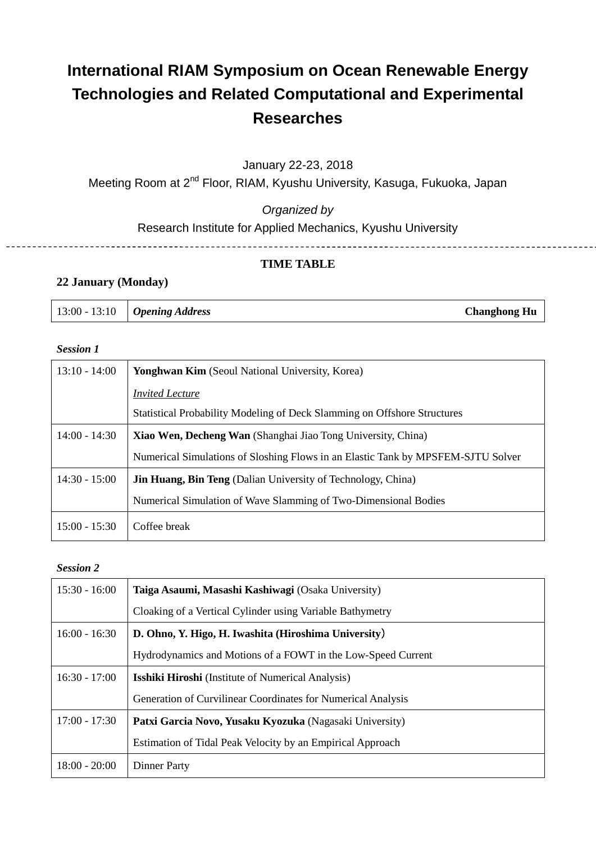# **International RIAM Symposium on Ocean Renewable Energy Technologies and Related Computational and Experimental Researches**

January 22-23, 2018

Meeting Room at 2<sup>nd</sup> Floor, RIAM, Kyushu University, Kasuga, Fukuoka, Japan

*Organized by*

Research Institute for Applied Mechanics, Kyushu University

## **TIME TABLE**

### **22 January (Monday)**

| $13:00 - 13:10$ Opening Address | <b>Changhong Hu</b> |
|---------------------------------|---------------------|
|---------------------------------|---------------------|

#### *Session 1*

| $13:10 - 14:00$ | <b>Yonghwan Kim</b> (Seoul National University, Korea)                           |
|-----------------|----------------------------------------------------------------------------------|
|                 | <b>Invited Lecture</b>                                                           |
|                 | Statistical Probability Modeling of Deck Slamming on Offshore Structures         |
| $14:00 - 14:30$ | Xiao Wen, Decheng Wan (Shanghai Jiao Tong University, China)                     |
|                 | Numerical Simulations of Sloshing Flows in an Elastic Tank by MPSFEM-SJTU Solver |
| $14:30 - 15:00$ | <b>Jin Huang, Bin Teng</b> (Dalian University of Technology, China)              |
|                 | Numerical Simulation of Wave Slamming of Two-Dimensional Bodies                  |
| $15:00 - 15:30$ | Coffee break                                                                     |

#### *Session 2*

| $15:30 - 16:00$ | Taiga Asaumi, Masashi Kashiwagi (Osaka University)           |
|-----------------|--------------------------------------------------------------|
|                 | Cloaking of a Vertical Cylinder using Variable Bathymetry    |
| $16:00 - 16:30$ | D. Ohno, Y. Higo, H. Iwashita (Hiroshima University)         |
|                 | Hydrodynamics and Motions of a FOWT in the Low-Speed Current |
| $16:30 - 17:00$ | <b>Isshiki Hiroshi</b> (Institute of Numerical Analysis)     |
|                 | Generation of Curvilinear Coordinates for Numerical Analysis |
| $17:00 - 17:30$ | Patxi Garcia Novo, Yusaku Kyozuka (Nagasaki University)      |
|                 | Estimation of Tidal Peak Velocity by an Empirical Approach   |
| $18:00 - 20:00$ | <b>Dinner Party</b>                                          |